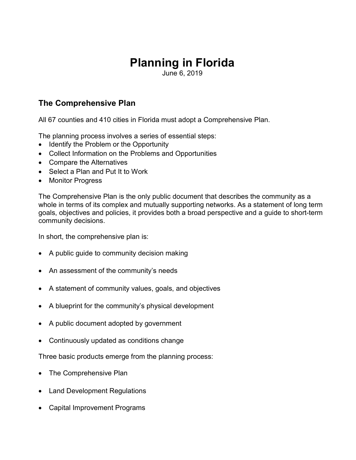# Planning in Florida

June 6, 2019

## The Comprehensive Plan

All 67 counties and 410 cities in Florida must adopt a Comprehensive Plan.

The planning process involves a series of essential steps:

- Identify the Problem or the Opportunity
- Collect Information on the Problems and Opportunities
- Compare the Alternatives
- Select a Plan and Put It to Work
- Monitor Progress

The Comprehensive Plan is the only public document that describes the community as a whole in terms of its complex and mutually supporting networks. As a statement of long term goals, objectives and policies, it provides both a broad perspective and a guide to short-term community decisions.

In short, the comprehensive plan is:

- A public guide to community decision making
- An assessment of the community's needs
- A statement of community values, goals, and objectives
- A blueprint for the community's physical development
- A public document adopted by government
- Continuously updated as conditions change

Three basic products emerge from the planning process:

- The Comprehensive Plan
- Land Development Regulations
- Capital Improvement Programs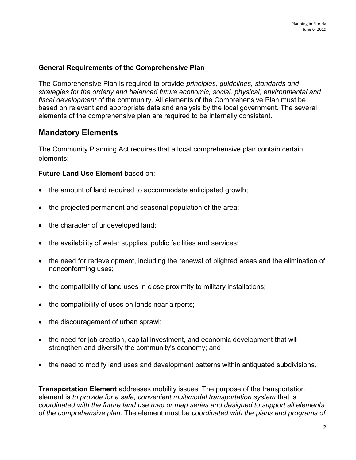#### General Requirements of the Comprehensive Plan

The Comprehensive Plan is required to provide principles, guidelines, standards and strategies for the orderly and balanced future economic, social, physical, environmental and fiscal development of the community. All elements of the Comprehensive Plan must be based on relevant and appropriate data and analysis by the local government. The several elements of the comprehensive plan are required to be internally consistent.

### Mandatory Elements

The Community Planning Act requires that a local comprehensive plan contain certain elements:

#### Future Land Use Element based on:

- the amount of land required to accommodate anticipated growth;
- the projected permanent and seasonal population of the area;
- the character of undeveloped land;
- the availability of water supplies, public facilities and services;
- the need for redevelopment, including the renewal of blighted areas and the elimination of nonconforming uses;
- the compatibility of land uses in close proximity to military installations;
- the compatibility of uses on lands near airports;
- the discouragement of urban sprawl;
- the need for job creation, capital investment, and economic development that will strengthen and diversify the community's economy; and
- the need to modify land uses and development patterns within antiquated subdivisions.

**Transportation Element** addresses mobility issues. The purpose of the transportation element is to provide for a safe, convenient multimodal transportation system that is coordinated with the future land use map or map series and designed to support all elements of the comprehensive plan. The element must be coordinated with the plans and programs of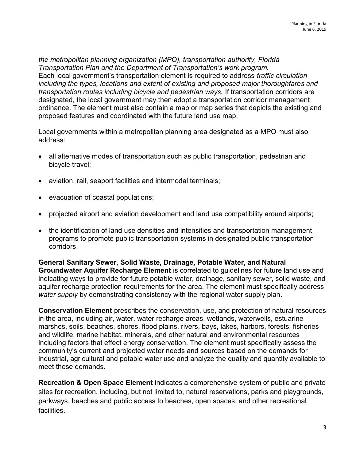the metropolitan planning organization (MPO), transportation authority, Florida Transportation Plan and the Department of Transportation's work program. Each local government's transportation element is required to address traffic circulation including the types, locations and extent of existing and proposed major thoroughfares and transportation routes including bicycle and pedestrian ways. If transportation corridors are designated, the local government may then adopt a transportation corridor management ordinance. The element must also contain a map or map series that depicts the existing and proposed features and coordinated with the future land use map.

Local governments within a metropolitan planning area designated as a MPO must also address:

- all alternative modes of transportation such as public transportation, pedestrian and bicycle travel;
- aviation, rail, seaport facilities and intermodal terminals;
- evacuation of coastal populations;
- projected airport and aviation development and land use compatibility around airports;
- the identification of land use densities and intensities and transportation management programs to promote public transportation systems in designated public transportation corridors.

General Sanitary Sewer, Solid Waste, Drainage, Potable Water, and Natural Groundwater Aquifer Recharge Element is correlated to guidelines for future land use and indicating ways to provide for future potable water, drainage, sanitary sewer, solid waste, and aquifer recharge protection requirements for the area. The element must specifically address water supply by demonstrating consistency with the regional water supply plan.

Conservation Element prescribes the conservation, use, and protection of natural resources in the area, including air, water, water recharge areas, wetlands, waterwells, estuarine marshes, soils, beaches, shores, flood plains, rivers, bays, lakes, harbors, forests, fisheries and wildlife, marine habitat, minerals, and other natural and environmental resources including factors that effect energy conservation. The element must specifically assess the community's current and projected water needs and sources based on the demands for industrial, agricultural and potable water use and analyze the quality and quantity available to meet those demands.

Recreation & Open Space Element indicates a comprehensive system of public and private sites for recreation, including, but not limited to, natural reservations, parks and playgrounds, parkways, beaches and public access to beaches, open spaces, and other recreational facilities.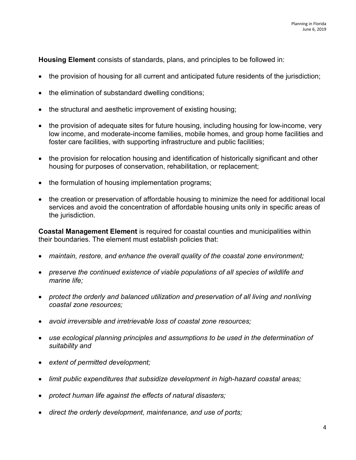Housing Element consists of standards, plans, and principles to be followed in:

- the provision of housing for all current and anticipated future residents of the jurisdiction;
- the elimination of substandard dwelling conditions;
- the structural and aesthetic improvement of existing housing;
- the provision of adequate sites for future housing, including housing for low-income, very low income, and moderate-income families, mobile homes, and group home facilities and foster care facilities, with supporting infrastructure and public facilities;
- the provision for relocation housing and identification of historically significant and other housing for purposes of conservation, rehabilitation, or replacement;
- the formulation of housing implementation programs;
- the creation or preservation of affordable housing to minimize the need for additional local services and avoid the concentration of affordable housing units only in specific areas of the jurisdiction.

Coastal Management Element is required for coastal counties and municipalities within their boundaries. The element must establish policies that:

- maintain, restore, and enhance the overall quality of the coastal zone environment;
- preserve the continued existence of viable populations of all species of wildlife and marine life;
- protect the orderly and balanced utilization and preservation of all living and nonliving coastal zone resources;
- avoid irreversible and irretrievable loss of coastal zone resources:
- use ecological planning principles and assumptions to be used in the determination of suitability and
- extent of permitted development;
- limit public expenditures that subsidize development in high-hazard coastal areas;
- protect human life against the effects of natural disasters;
- direct the orderly development, maintenance, and use of ports;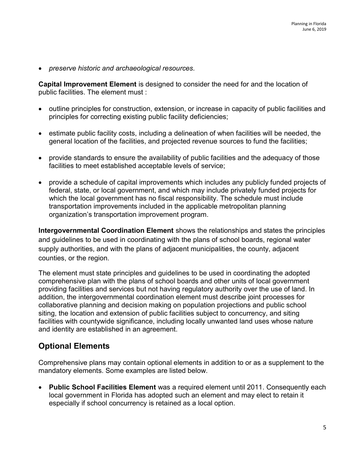preserve historic and archaeological resources.

Capital Improvement Element is designed to consider the need for and the location of public facilities. The element must :

- outline principles for construction, extension, or increase in capacity of public facilities and principles for correcting existing public facility deficiencies;
- estimate public facility costs, including a delineation of when facilities will be needed, the general location of the facilities, and projected revenue sources to fund the facilities;
- provide standards to ensure the availability of public facilities and the adequacy of those facilities to meet established acceptable levels of service;
- provide a schedule of capital improvements which includes any publicly funded projects of federal, state, or local government, and which may include privately funded projects for which the local government has no fiscal responsibility. The schedule must include transportation improvements included in the applicable metropolitan planning organization's transportation improvement program.

Intergovernmental Coordination Element shows the relationships and states the principles and guidelines to be used in coordinating with the plans of school boards, regional water supply authorities, and with the plans of adjacent municipalities, the county, adjacent counties, or the region.

The element must state principles and guidelines to be used in coordinating the adopted comprehensive plan with the plans of school boards and other units of local government providing facilities and services but not having regulatory authority over the use of land. In addition, the intergovernmental coordination element must describe joint processes for collaborative planning and decision making on population projections and public school siting, the location and extension of public facilities subject to concurrency, and siting facilities with countywide significance, including locally unwanted land uses whose nature and identity are established in an agreement.

## Optional Elements

Comprehensive plans may contain optional elements in addition to or as a supplement to the mandatory elements. Some examples are listed below.

• Public School Facilities Element was a required element until 2011. Consequently each local government in Florida has adopted such an element and may elect to retain it especially if school concurrency is retained as a local option.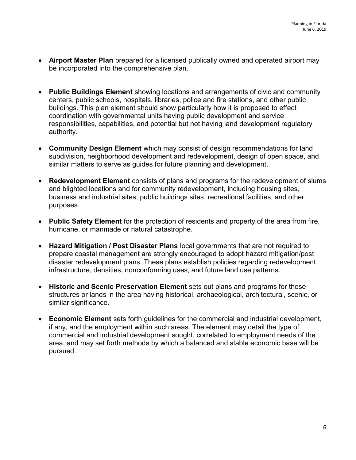- Airport Master Plan prepared for a licensed publically owned and operated airport may be incorporated into the comprehensive plan.
- Public Buildings Element showing locations and arrangements of civic and community centers, public schools, hospitals, libraries, police and fire stations, and other public buildings. This plan element should show particularly how it is proposed to effect coordination with governmental units having public development and service responsibilities, capabilities, and potential but not having land development regulatory authority.
- Community Design Element which may consist of design recommendations for land subdivision, neighborhood development and redevelopment, design of open space, and similar matters to serve as guides for future planning and development.
- Redevelopment Element consists of plans and programs for the redevelopment of slums and blighted locations and for community redevelopment, including housing sites, business and industrial sites, public buildings sites, recreational facilities, and other purposes.
- Public Safety Element for the protection of residents and property of the area from fire, hurricane, or manmade or natural catastrophe.
- Hazard Mitigation / Post Disaster Plans local governments that are not required to prepare coastal management are strongly encouraged to adopt hazard mitigation/post disaster redevelopment plans. These plans establish policies regarding redevelopment, infrastructure, densities, nonconforming uses, and future land use patterns.
- Historic and Scenic Preservation Element sets out plans and programs for those structures or lands in the area having historical, archaeological, architectural, scenic, or similar significance.
- Economic Element sets forth guidelines for the commercial and industrial development, if any, and the employment within such areas. The element may detail the type of commercial and industrial development sought, correlated to employment needs of the area, and may set forth methods by which a balanced and stable economic base will be pursued.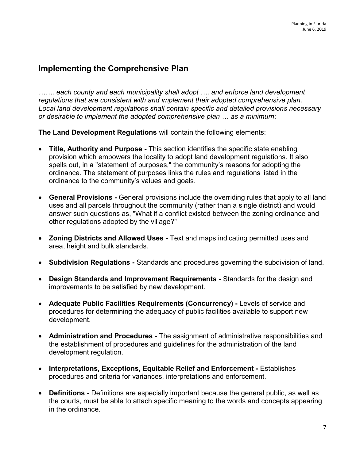## Implementing the Comprehensive Plan

....... each county and each municipality shall adopt .... and enforce land development regulations that are consistent with and implement their adopted comprehensive plan. Local land development regulations shall contain specific and detailed provisions necessary or desirable to implement the adopted comprehensive plan … as a minimum:

The Land Development Regulations will contain the following elements:

- Title, Authority and Purpose This section identifies the specific state enabling provision which empowers the locality to adopt land development regulations. It also spells out, in a "statement of purposes," the community's reasons for adopting the ordinance. The statement of purposes links the rules and regulations listed in the ordinance to the community's values and goals.
- General Provisions General provisions include the overriding rules that apply to all land uses and all parcels throughout the community (rather than a single district) and would answer such questions as, "What if a conflict existed between the zoning ordinance and other regulations adopted by the village?"
- Zoning Districts and Allowed Uses Text and maps indicating permitted uses and area, height and bulk standards.
- Subdivision Regulations Standards and procedures governing the subdivision of land.
- Design Standards and Improvement Requirements Standards for the design and improvements to be satisfied by new development.
- Adequate Public Facilities Requirements (Concurrency) Levels of service and procedures for determining the adequacy of public facilities available to support new development.
- Administration and Procedures The assignment of administrative responsibilities and the establishment of procedures and guidelines for the administration of the land development regulation.
- Interpretations, Exceptions, Equitable Relief and Enforcement Establishes procedures and criteria for variances, interpretations and enforcement.
- Definitions Definitions are especially important because the general public, as well as the courts, must be able to attach specific meaning to the words and concepts appearing in the ordinance.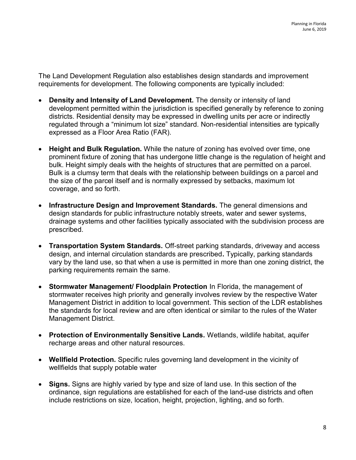The Land Development Regulation also establishes design standards and improvement requirements for development. The following components are typically included:

- Density and Intensity of Land Development. The density or intensity of land development permitted within the jurisdiction is specified generally by reference to zoning districts. Residential density may be expressed in dwelling units per acre or indirectly regulated through a "minimum lot size" standard. Non-residential intensities are typically expressed as a Floor Area Ratio (FAR).
- Height and Bulk Regulation. While the nature of zoning has evolved over time, one prominent fixture of zoning that has undergone little change is the regulation of height and bulk. Height simply deals with the heights of structures that are permitted on a parcel. Bulk is a clumsy term that deals with the relationship between buildings on a parcel and the size of the parcel itself and is normally expressed by setbacks, maximum lot coverage, and so forth.
- Infrastructure Design and Improvement Standards. The general dimensions and design standards for public infrastructure notably streets, water and sewer systems, drainage systems and other facilities typically associated with the subdivision process are prescribed.
- Transportation System Standards. Off-street parking standards, driveway and access design, and internal circulation standards are prescribed. Typically, parking standards vary by the land use, so that when a use is permitted in more than one zoning district, the parking requirements remain the same.
- Stormwater Management/ Floodplain Protection In Florida, the management of stormwater receives high priority and generally involves review by the respective Water Management District in addition to local government. This section of the LDR establishes the standards for local review and are often identical or similar to the rules of the Water Management District.
- Protection of Environmentally Sensitive Lands. Wetlands, wildlife habitat, aquifer recharge areas and other natural resources.
- Wellfield Protection. Specific rules governing land development in the vicinity of wellfields that supply potable water
- Signs. Signs are highly varied by type and size of land use. In this section of the ordinance, sign regulations are established for each of the land-use districts and often include restrictions on size, location, height, projection, lighting, and so forth.